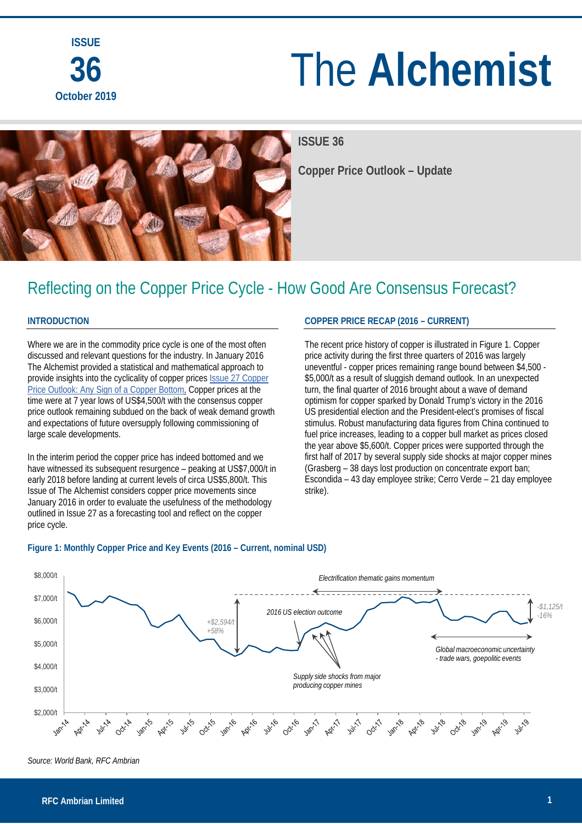**ISSUE 36 October 2019**

# The **Alchemist**



**ISSUE 36**

**Copper Price Outlook – Update**

### Reflecting on the Copper Price Cycle - How Good Are Consensus Forecast?

#### **INTRODUCTION**

Where we are in the commodity price cycle is one of the most often discussed and relevant questions for the industry. In January 2016 The Alchemist provided a statistical and mathematical approach to provide insights into the cyclicality of copper prices *Issue 27 Copper* [Price Outlook: Any Sign of a Copper Bottom.](https://www.rfcambrian.com/index.php/2016/01/11/copper-price-outlook/) Copper prices at the time were at 7 year lows of US\$4,500/t with the consensus copper price outlook remaining subdued on the back of weak demand growth and expectations of future oversupply following commissioning of large scale developments.

In the interim period the copper price has indeed bottomed and we have witnessed its subsequent resurgence – peaking at US\$7,000/t in early 2018 before landing at current levels of circa US\$5,800/t. This Issue of The Alchemist considers copper price movements since January 2016 in order to evaluate the usefulness of the methodology outlined in Issue 27 as a forecasting tool and reflect on the copper price cycle.

#### **COPPER PRICE RECAP (2016 – CURRENT)**

The recent price history of copper is illustrated in Figure 1. Copper price activity during the first three quarters of 2016 was largely uneventful - copper prices remaining range bound between \$4,500 - \$5,000/t as a result of sluggish demand outlook. In an unexpected turn, the final quarter of 2016 brought about a wave of demand optimism for copper sparked by Donald Trump's victory in the 2016 US presidential election and the President-elect's promises of fiscal stimulus. Robust manufacturing data figures from China continued to fuel price increases, leading to a copper bull market as prices closed the year above \$5,600/t. Copper prices were supported through the first half of 2017 by several supply side shocks at major copper mines (Grasberg – 38 days lost production on concentrate export ban; Escondida – 43 day employee strike; Cerro Verde – 21 day employee strike).





*Source: World Bank, RFC Ambrian*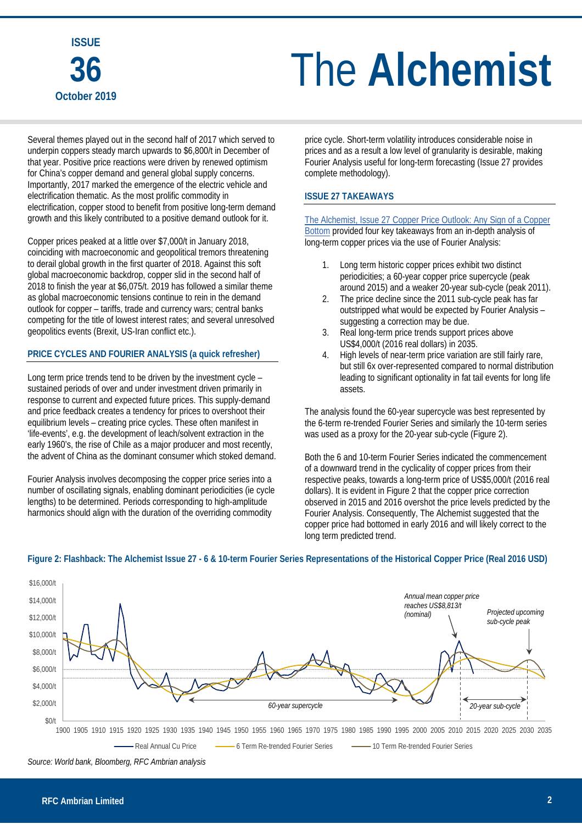### **ISSUE 36 October 2019**

# The **Alchemist**

Several themes played out in the second half of 2017 which served to underpin coppers steady march upwards to \$6,800/t in December of that year. Positive price reactions were driven by renewed optimism for China's copper demand and general global supply concerns. Importantly, 2017 marked the emergence of the electric vehicle and electrification thematic. As the most prolific commodity in electrification, copper stood to benefit from positive long-term demand growth and this likely contributed to a positive demand outlook for it.

Copper prices peaked at a little over \$7,000/t in January 2018, coinciding with macroeconomic and geopolitical tremors threatening to derail global growth in the first quarter of 2018. Against this soft global macroeconomic backdrop, copper slid in the second half of 2018 to finish the year at \$6,075/t. 2019 has followed a similar theme as global macroeconomic tensions continue to rein in the demand outlook for copper – tariffs, trade and currency wars; central banks competing for the title of lowest interest rates; and several unresolved geopolitics events (Brexit, US-Iran conflict etc.).

#### **PRICE CYCLES AND FOURIER ANALYSIS (a quick refresher)**

Long term price trends tend to be driven by the investment cycle – sustained periods of over and under investment driven primarily in response to current and expected future prices. This supply-demand and price feedback creates a tendency for prices to overshoot their equilibrium levels – creating price cycles. These often manifest in 'life-events', e.g. the development of leach/solvent extraction in the early 1960's, the rise of Chile as a major producer and most recently, the advent of China as the dominant consumer which stoked demand.

Fourier Analysis involves decomposing the copper price series into a number of oscillating signals, enabling dominant periodicities (ie cycle lengths) to be determined. Periods corresponding to high-amplitude harmonics should align with the duration of the overriding commodity

price cycle. Short-term volatility introduces considerable noise in prices and as a result a low level of granularity is desirable, making Fourier Analysis useful for long-term forecasting (Issue 27 provides complete methodology).

#### **ISSUE 27 TAKEAWAYS**

[The Alchemist, Issue 27 Copper Price Outlook: Any Sign of a Copper](https://www.rfcambrian.com/index.php/2016/01/11/copper-price-outlook/)  [Bottom](https://www.rfcambrian.com/index.php/2016/01/11/copper-price-outlook/) provided four key takeaways from an in-depth analysis of long-term copper prices via the use of Fourier Analysis:

- 1. Long term historic copper prices exhibit two distinct periodicities; a 60-year copper price supercycle (peak around 2015) and a weaker 20-year sub-cycle (peak 2011).
- 2. The price decline since the 2011 sub-cycle peak has far outstripped what would be expected by Fourier Analysis – suggesting a correction may be due.
- 3. Real long-term price trends support prices above US\$4,000/t (2016 real dollars) in 2035.
- 4. High levels of near-term price variation are still fairly rare, but still 6x over-represented compared to normal distribution leading to significant optionality in fat tail events for long life assets.

The analysis found the 60-year supercycle was best represented by the 6-term re-trended Fourier Series and similarly the 10-term series was used as a proxy for the 20-year sub-cycle (Figure 2).

Both the 6 and 10-term Fourier Series indicated the commencement of a downward trend in the cyclicality of copper prices from their respective peaks, towards a long-term price of US\$5,000/t (2016 real dollars). It is evident in Figure 2 that the copper price correction observed in 2015 and 2016 overshot the price levels predicted by the Fourier Analysis. Consequently, The Alchemist suggested that the copper price had bottomed in early 2016 and will likely correct to the long term predicted trend.



#### **Figure 2: Flashback: The Alchemist Issue 27 - 6 & 10-term Fourier Series Representations of the Historical Copper Price (Real 2016 USD)**

*Source: World bank, Bloomberg, RFC Ambrian analysis*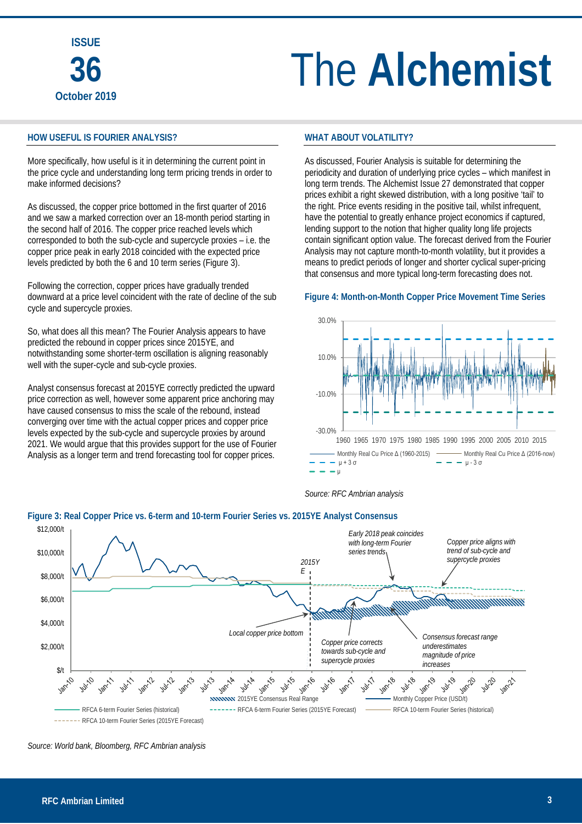# The **Alchemist**

#### **HOW USEFUL IS FOURIER ANALYSIS?**

More specifically, how useful is it in determining the current point in the price cycle and understanding long term pricing trends in order to make informed decisions?

As discussed, the copper price bottomed in the first quarter of 2016 and we saw a marked correction over an 18-month period starting in the second half of 2016. The copper price reached levels which corresponded to both the sub-cycle and supercycle proxies – i.e. the copper price peak in early 2018 coincided with the expected price levels predicted by both the 6 and 10 term series (Figure 3).

Following the correction, copper prices have gradually trended downward at a price level coincident with the rate of decline of the sub cycle and supercycle proxies.

So, what does all this mean? The Fourier Analysis appears to have predicted the rebound in copper prices since 2015YE, and notwithstanding some shorter-term oscillation is aligning reasonably well with the super-cycle and sub-cycle proxies.

Analyst consensus forecast at 2015YE correctly predicted the upward price correction as well, however some apparent price anchoring may have caused consensus to miss the scale of the rebound, instead converging over time with the actual copper prices and copper price levels expected by the sub-cycle and supercycle proxies by around 2021. We would argue that this provides support for the use of Fourier Analysis as a longer term and trend forecasting tool for copper prices.

#### **WHAT ABOUT VOLATILITY?**

As discussed, Fourier Analysis is suitable for determining the periodicity and duration of underlying price cycles – which manifest in long term trends. The Alchemist Issue 27 demonstrated that copper prices exhibit a right skewed distribution, with a long positive 'tail' to the right. Price events residing in the positive tail, whilst infrequent, have the potential to greatly enhance project economics if captured, lending support to the notion that higher quality long life projects contain significant option value. The forecast derived from the Fourier Analysis may not capture month-to-month volatility, but it provides a means to predict periods of longer and shorter cyclical super-pricing that consensus and more typical long-term forecasting does not.

#### **Figure 4: Month-on-Month Copper Price Movement Time Series**









*Source: World bank, Bloomberg, RFC Ambrian analysis*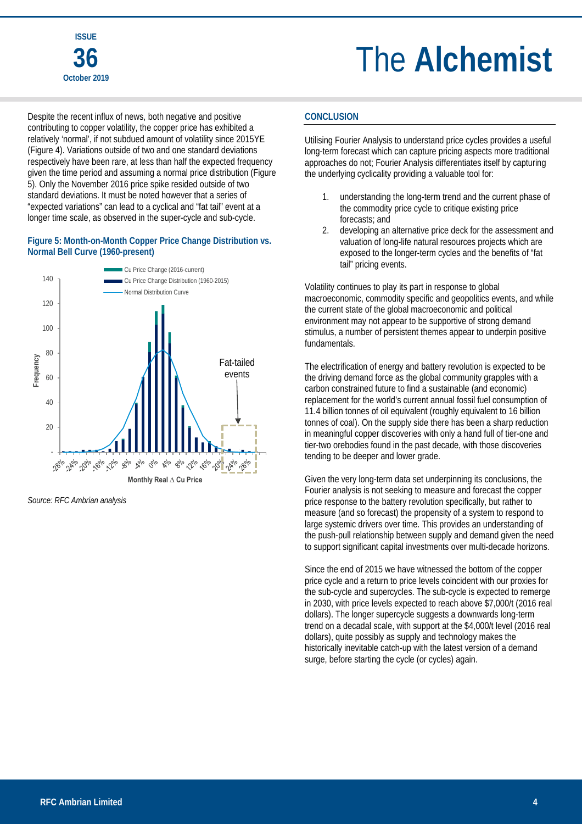## The **Alchemist**

Despite the recent influx of news, both negative and positive contributing to copper volatility, the copper price has exhibited a relatively 'normal', if not subdued amount of volatility since 2015YE (Figure 4). Variations outside of two and one standard deviations respectively have been rare, at less than half the expected frequency given the time period and assuming a normal price distribution (Figure 5). Only the November 2016 price spike resided outside of two standard deviations. It must be noted however that a series of "expected variations" can lead to a cyclical and "fat tail" event at a longer time scale, as observed in the super-cycle and sub-cycle.

#### **Figure 5: Month-on-Month Copper Price Change Distribution vs. Normal Bell Curve (1960-present)**



*Source: RFC Ambrian analysis* 

#### **CONCLUSION**

Utilising Fourier Analysis to understand price cycles provides a useful long-term forecast which can capture pricing aspects more traditional approaches do not; Fourier Analysis differentiates itself by capturing the underlying cyclicality providing a valuable tool for:

- 1. understanding the long-term trend and the current phase of the commodity price cycle to critique existing price forecasts; and
- 2. developing an alternative price deck for the assessment and valuation of long-life natural resources projects which are exposed to the longer-term cycles and the benefits of "fat tail" pricing events.

Volatility continues to play its part in response to global macroeconomic, commodity specific and geopolitics events, and while the current state of the global macroeconomic and political environment may not appear to be supportive of strong demand stimulus, a number of persistent themes appear to underpin positive fundamentals.

The electrification of energy and battery revolution is expected to be the driving demand force as the global community grapples with a carbon constrained future to find a sustainable (and economic) replacement for the world's current annual fossil fuel consumption of 11.4 billion tonnes of oil equivalent (roughly equivalent to 16 billion tonnes of coal). On the supply side there has been a sharp reduction in meaningful copper discoveries with only a hand full of tier-one and tier-two orebodies found in the past decade, with those discoveries tending to be deeper and lower grade.

Given the very long-term data set underpinning its conclusions, the Fourier analysis is not seeking to measure and forecast the copper price response to the battery revolution specifically, but rather to measure (and so forecast) the propensity of a system to respond to large systemic drivers over time. This provides an understanding of the push-pull relationship between supply and demand given the need to support significant capital investments over multi-decade horizons.

Since the end of 2015 we have witnessed the bottom of the copper price cycle and a return to price levels coincident with our proxies for the sub-cycle and supercycles. The sub-cycle is expected to remerge in 2030, with price levels expected to reach above \$7,000/t (2016 real dollars). The longer supercycle suggests a downwards long-term trend on a decadal scale, with support at the \$4,000/t level (2016 real dollars), quite possibly as supply and technology makes the historically inevitable catch-up with the latest version of a demand surge, before starting the cycle (or cycles) again.